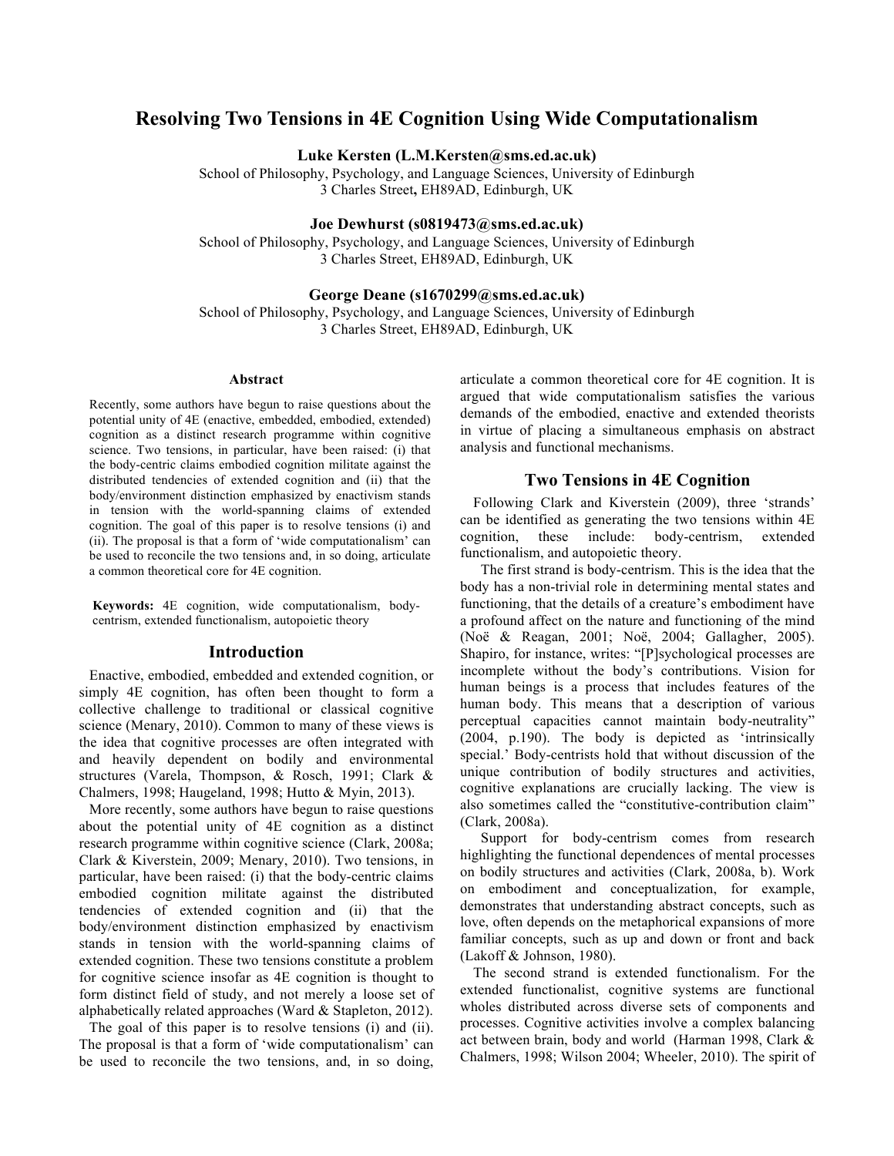# **Resolving Two Tensions in 4E Cognition Using Wide Computationalism**

**Luke Kersten (L.M.Kersten@sms.ed.ac.uk)**

School of Philosophy, Psychology, and Language Sciences, University of Edinburgh 3 Charles Street**,** EH89AD, Edinburgh, UK

**Joe Dewhurst (s0819473@sms.ed.ac.uk)**

School of Philosophy, Psychology, and Language Sciences, University of Edinburgh 3 Charles Street, EH89AD, Edinburgh, UK

#### **George Deane (s1670299@sms.ed.ac.uk)**

School of Philosophy, Psychology, and Language Sciences, University of Edinburgh 3 Charles Street, EH89AD, Edinburgh, UK

#### **Abstract**

Recently, some authors have begun to raise questions about the potential unity of 4E (enactive, embedded, embodied, extended) cognition as a distinct research programme within cognitive science. Two tensions, in particular, have been raised: (i) that the body-centric claims embodied cognition militate against the distributed tendencies of extended cognition and (ii) that the body/environment distinction emphasized by enactivism stands in tension with the world-spanning claims of extended cognition. The goal of this paper is to resolve tensions (i) and (ii). The proposal is that a form of 'wide computationalism' can be used to reconcile the two tensions and, in so doing, articulate a common theoretical core for 4E cognition.

**Keywords:** 4E cognition, wide computationalism, bodycentrism, extended functionalism, autopoietic theory

#### **Introduction**

Enactive, embodied, embedded and extended cognition, or simply 4E cognition, has often been thought to form a collective challenge to traditional or classical cognitive science (Menary, 2010). Common to many of these views is the idea that cognitive processes are often integrated with and heavily dependent on bodily and environmental structures (Varela, Thompson, & Rosch, 1991; Clark & Chalmers, 1998; Haugeland, 1998; Hutto & Myin, 2013).

More recently, some authors have begun to raise questions about the potential unity of 4E cognition as a distinct research programme within cognitive science (Clark, 2008a; Clark & Kiverstein, 2009; Menary, 2010). Two tensions, in particular, have been raised: (i) that the body-centric claims embodied cognition militate against the distributed tendencies of extended cognition and (ii) that the body/environment distinction emphasized by enactivism stands in tension with the world-spanning claims of extended cognition. These two tensions constitute a problem for cognitive science insofar as 4E cognition is thought to form distinct field of study, and not merely a loose set of alphabetically related approaches (Ward & Stapleton, 2012).

The goal of this paper is to resolve tensions (i) and (ii). The proposal is that a form of 'wide computationalism' can be used to reconcile the two tensions, and, in so doing,

articulate a common theoretical core for 4E cognition. It is argued that wide computationalism satisfies the various demands of the embodied, enactive and extended theorists in virtue of placing a simultaneous emphasis on abstract analysis and functional mechanisms.

## **Two Tensions in 4E Cognition**

Following Clark and Kiverstein (2009), three 'strands' can be identified as generating the two tensions within 4E cognition, these include: body-centrism, extended functionalism, and autopoietic theory.

The first strand is body-centrism. This is the idea that the body has a non-trivial role in determining mental states and functioning, that the details of a creature's embodiment have a profound affect on the nature and functioning of the mind (Noë & Reagan, 2001; Noë, 2004; Gallagher, 2005). Shapiro, for instance, writes: "[P]sychological processes are incomplete without the body's contributions. Vision for human beings is a process that includes features of the human body. This means that a description of various perceptual capacities cannot maintain body-neutrality" (2004, p.190). The body is depicted as 'intrinsically special.' Body-centrists hold that without discussion of the unique contribution of bodily structures and activities, cognitive explanations are crucially lacking. The view is also sometimes called the "constitutive-contribution claim" (Clark, 2008a).

Support for body-centrism comes from research highlighting the functional dependences of mental processes on bodily structures and activities (Clark, 2008a, b). Work on embodiment and conceptualization, for example, demonstrates that understanding abstract concepts, such as love, often depends on the metaphorical expansions of more familiar concepts, such as up and down or front and back (Lakoff & Johnson, 1980).

The second strand is extended functionalism. For the extended functionalist, cognitive systems are functional wholes distributed across diverse sets of components and processes. Cognitive activities involve a complex balancing act between brain, body and world (Harman 1998, Clark & Chalmers, 1998; Wilson 2004; Wheeler, 2010). The spirit of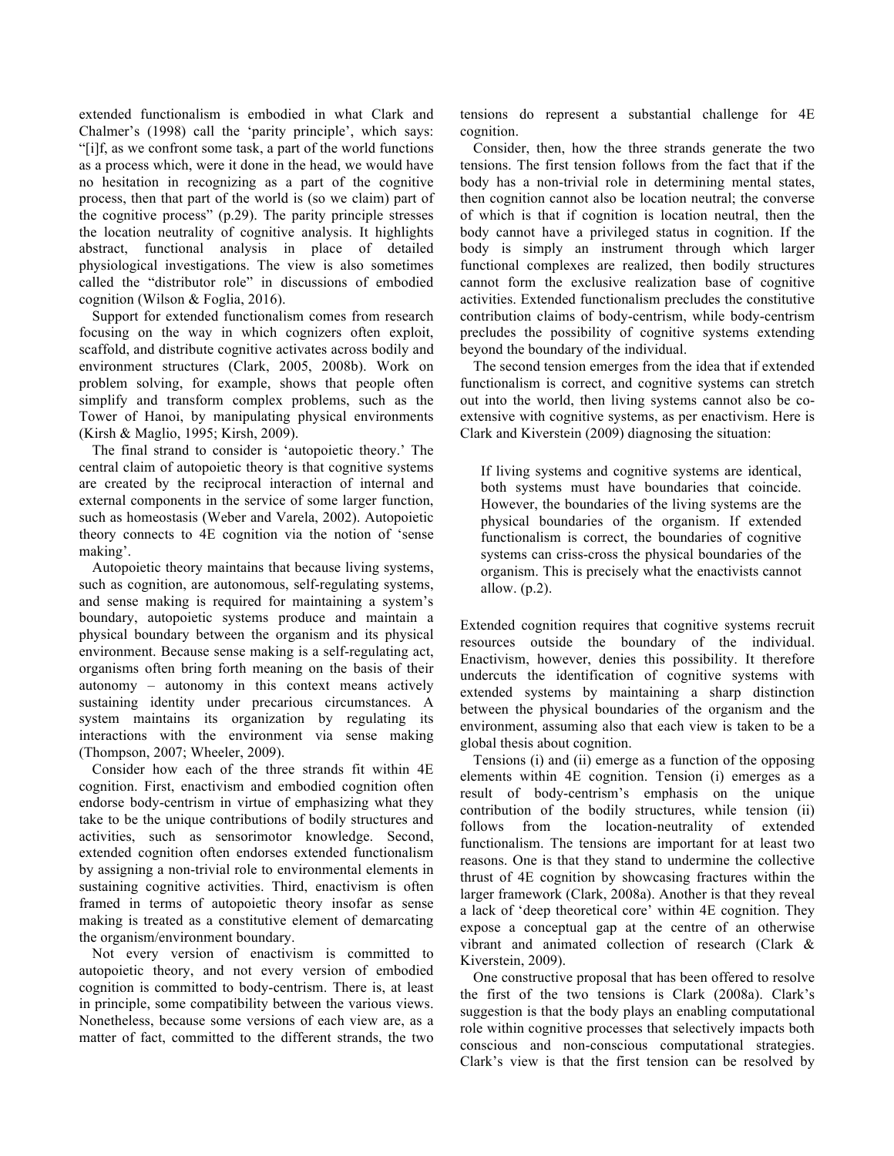extended functionalism is embodied in what Clark and Chalmer's (1998) call the 'parity principle', which says: "[i]f, as we confront some task, a part of the world functions as a process which, were it done in the head, we would have no hesitation in recognizing as a part of the cognitive process, then that part of the world is (so we claim) part of the cognitive process" (p.29). The parity principle stresses the location neutrality of cognitive analysis. It highlights abstract, functional analysis in place of detailed physiological investigations. The view is also sometimes called the "distributor role" in discussions of embodied cognition (Wilson & Foglia, 2016).

Support for extended functionalism comes from research focusing on the way in which cognizers often exploit, scaffold, and distribute cognitive activates across bodily and environment structures (Clark, 2005, 2008b). Work on problem solving, for example, shows that people often simplify and transform complex problems, such as the Tower of Hanoi, by manipulating physical environments (Kirsh & Maglio, 1995; Kirsh, 2009).

The final strand to consider is 'autopoietic theory.' The central claim of autopoietic theory is that cognitive systems are created by the reciprocal interaction of internal and external components in the service of some larger function, such as homeostasis (Weber and Varela, 2002). Autopoietic theory connects to 4E cognition via the notion of 'sense making'.

Autopoietic theory maintains that because living systems, such as cognition, are autonomous, self-regulating systems, and sense making is required for maintaining a system's boundary, autopoietic systems produce and maintain a physical boundary between the organism and its physical environment. Because sense making is a self-regulating act, organisms often bring forth meaning on the basis of their autonomy – autonomy in this context means actively sustaining identity under precarious circumstances. A system maintains its organization by regulating its interactions with the environment via sense making (Thompson, 2007; Wheeler, 2009).

Consider how each of the three strands fit within 4E cognition. First, enactivism and embodied cognition often endorse body-centrism in virtue of emphasizing what they take to be the unique contributions of bodily structures and activities, such as sensorimotor knowledge. Second, extended cognition often endorses extended functionalism by assigning a non-trivial role to environmental elements in sustaining cognitive activities. Third, enactivism is often framed in terms of autopoietic theory insofar as sense making is treated as a constitutive element of demarcating the organism/environment boundary.

Not every version of enactivism is committed to autopoietic theory, and not every version of embodied cognition is committed to body-centrism. There is, at least in principle, some compatibility between the various views. Nonetheless, because some versions of each view are, as a matter of fact, committed to the different strands, the two

tensions do represent a substantial challenge for 4E cognition.

Consider, then, how the three strands generate the two tensions. The first tension follows from the fact that if the body has a non-trivial role in determining mental states, then cognition cannot also be location neutral; the converse of which is that if cognition is location neutral, then the body cannot have a privileged status in cognition. If the body is simply an instrument through which larger functional complexes are realized, then bodily structures cannot form the exclusive realization base of cognitive activities. Extended functionalism precludes the constitutive contribution claims of body-centrism, while body-centrism precludes the possibility of cognitive systems extending beyond the boundary of the individual.

The second tension emerges from the idea that if extended functionalism is correct, and cognitive systems can stretch out into the world, then living systems cannot also be coextensive with cognitive systems, as per enactivism. Here is Clark and Kiverstein (2009) diagnosing the situation:

If living systems and cognitive systems are identical, both systems must have boundaries that coincide. However, the boundaries of the living systems are the physical boundaries of the organism. If extended functionalism is correct, the boundaries of cognitive systems can criss-cross the physical boundaries of the organism. This is precisely what the enactivists cannot allow. (p.2).

Extended cognition requires that cognitive systems recruit resources outside the boundary of the individual. Enactivism, however, denies this possibility. It therefore undercuts the identification of cognitive systems with extended systems by maintaining a sharp distinction between the physical boundaries of the organism and the environment, assuming also that each view is taken to be a global thesis about cognition.

Tensions (i) and (ii) emerge as a function of the opposing elements within 4E cognition. Tension (i) emerges as a result of body-centrism's emphasis on the unique contribution of the bodily structures, while tension (ii) follows from the location-neutrality of extended functionalism. The tensions are important for at least two reasons. One is that they stand to undermine the collective thrust of 4E cognition by showcasing fractures within the larger framework (Clark, 2008a). Another is that they reveal a lack of 'deep theoretical core' within 4E cognition. They expose a conceptual gap at the centre of an otherwise vibrant and animated collection of research (Clark & Kiverstein, 2009).

One constructive proposal that has been offered to resolve the first of the two tensions is Clark (2008a). Clark's suggestion is that the body plays an enabling computational role within cognitive processes that selectively impacts both conscious and non-conscious computational strategies. Clark's view is that the first tension can be resolved by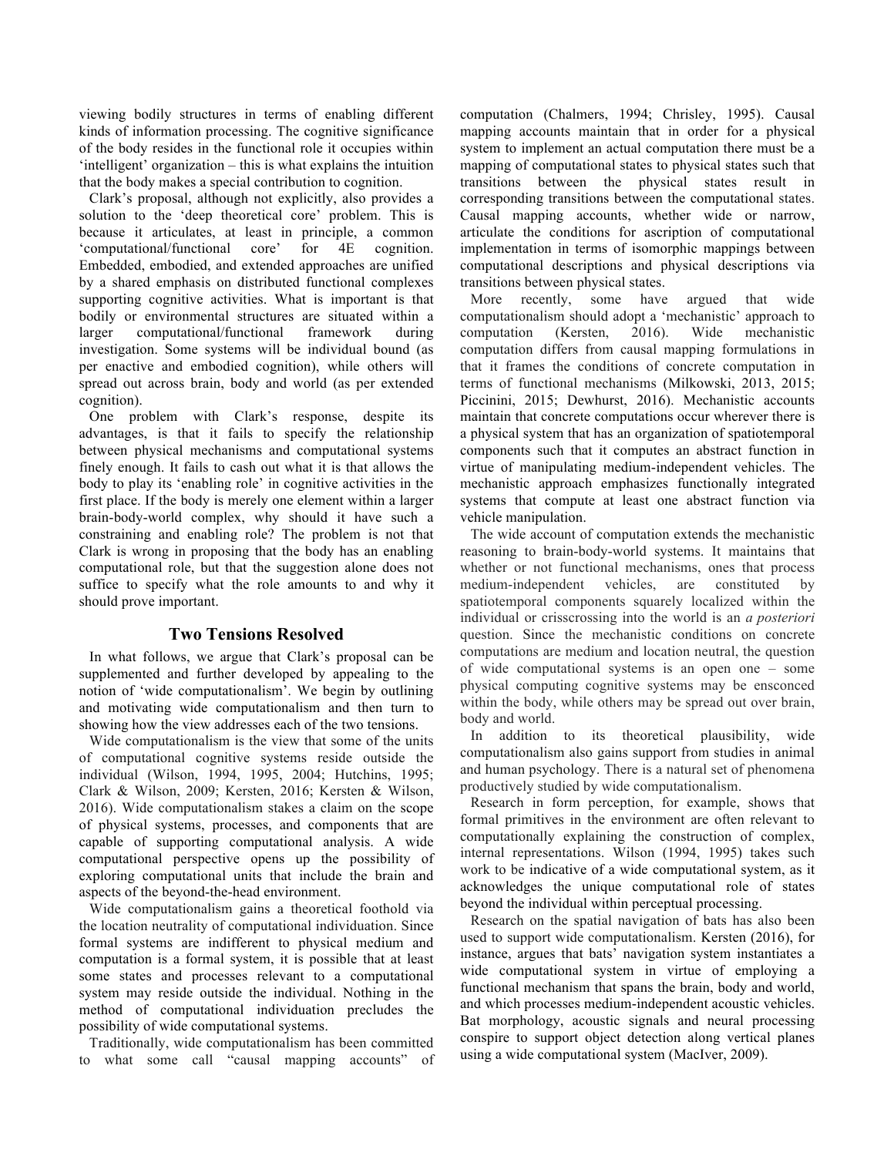viewing bodily structures in terms of enabling different kinds of information processing. The cognitive significance of the body resides in the functional role it occupies within 'intelligent' organization – this is what explains the intuition that the body makes a special contribution to cognition.

Clark's proposal, although not explicitly, also provides a solution to the 'deep theoretical core' problem. This is because it articulates, at least in principle, a common 'computational/functional core' for 4E cognition. Embedded, embodied, and extended approaches are unified by a shared emphasis on distributed functional complexes supporting cognitive activities. What is important is that bodily or environmental structures are situated within a larger computational/functional framework during investigation. Some systems will be individual bound (as per enactive and embodied cognition), while others will spread out across brain, body and world (as per extended cognition).

One problem with Clark's response, despite its advantages, is that it fails to specify the relationship between physical mechanisms and computational systems finely enough. It fails to cash out what it is that allows the body to play its 'enabling role' in cognitive activities in the first place. If the body is merely one element within a larger brain-body-world complex, why should it have such a constraining and enabling role? The problem is not that Clark is wrong in proposing that the body has an enabling computational role, but that the suggestion alone does not suffice to specify what the role amounts to and why it should prove important.

## **Two Tensions Resolved**

In what follows, we argue that Clark's proposal can be supplemented and further developed by appealing to the notion of 'wide computationalism'. We begin by outlining and motivating wide computationalism and then turn to showing how the view addresses each of the two tensions.

Wide computationalism is the view that some of the units of computational cognitive systems reside outside the individual (Wilson, 1994, 1995, 2004; Hutchins, 1995; Clark & Wilson, 2009; Kersten, 2016; Kersten & Wilson, 2016). Wide computationalism stakes a claim on the scope of physical systems, processes, and components that are capable of supporting computational analysis. A wide computational perspective opens up the possibility of exploring computational units that include the brain and aspects of the beyond-the-head environment.

Wide computationalism gains a theoretical foothold via the location neutrality of computational individuation. Since formal systems are indifferent to physical medium and computation is a formal system, it is possible that at least some states and processes relevant to a computational system may reside outside the individual. Nothing in the method of computational individuation precludes the possibility of wide computational systems.

Traditionally, wide computationalism has been committed to what some call "causal mapping accounts" of computation (Chalmers, 1994; Chrisley, 1995). Causal mapping accounts maintain that in order for a physical system to implement an actual computation there must be a mapping of computational states to physical states such that transitions between the physical states result in corresponding transitions between the computational states. Causal mapping accounts, whether wide or narrow, articulate the conditions for ascription of computational implementation in terms of isomorphic mappings between computational descriptions and physical descriptions via transitions between physical states.

More recently, some have argued that wide computationalism should adopt a 'mechanistic' approach to computation (Kersten, 2016). Wide mechanistic computation differs from causal mapping formulations in that it frames the conditions of concrete computation in terms of functional mechanisms (Milkowski, 2013, 2015; Piccinini, 2015; Dewhurst, 2016). Mechanistic accounts maintain that concrete computations occur wherever there is a physical system that has an organization of spatiotemporal components such that it computes an abstract function in virtue of manipulating medium-independent vehicles. The mechanistic approach emphasizes functionally integrated systems that compute at least one abstract function via vehicle manipulation.

The wide account of computation extends the mechanistic reasoning to brain-body-world systems. It maintains that whether or not functional mechanisms, ones that process medium-independent vehicles, are constituted by spatiotemporal components squarely localized within the individual or crisscrossing into the world is an *a posteriori* question. Since the mechanistic conditions on concrete computations are medium and location neutral, the question of wide computational systems is an open one – some physical computing cognitive systems may be ensconced within the body, while others may be spread out over brain, body and world.

In addition to its theoretical plausibility, wide computationalism also gains support from studies in animal and human psychology. There is a natural set of phenomena productively studied by wide computationalism.

Research in form perception, for example, shows that formal primitives in the environment are often relevant to computationally explaining the construction of complex, internal representations. Wilson (1994, 1995) takes such work to be indicative of a wide computational system, as it acknowledges the unique computational role of states beyond the individual within perceptual processing.

Research on the spatial navigation of bats has also been used to support wide computationalism. Kersten (2016), for instance, argues that bats' navigation system instantiates a wide computational system in virtue of employing a functional mechanism that spans the brain, body and world, and which processes medium-independent acoustic vehicles. Bat morphology, acoustic signals and neural processing conspire to support object detection along vertical planes using a wide computational system (MacIver, 2009).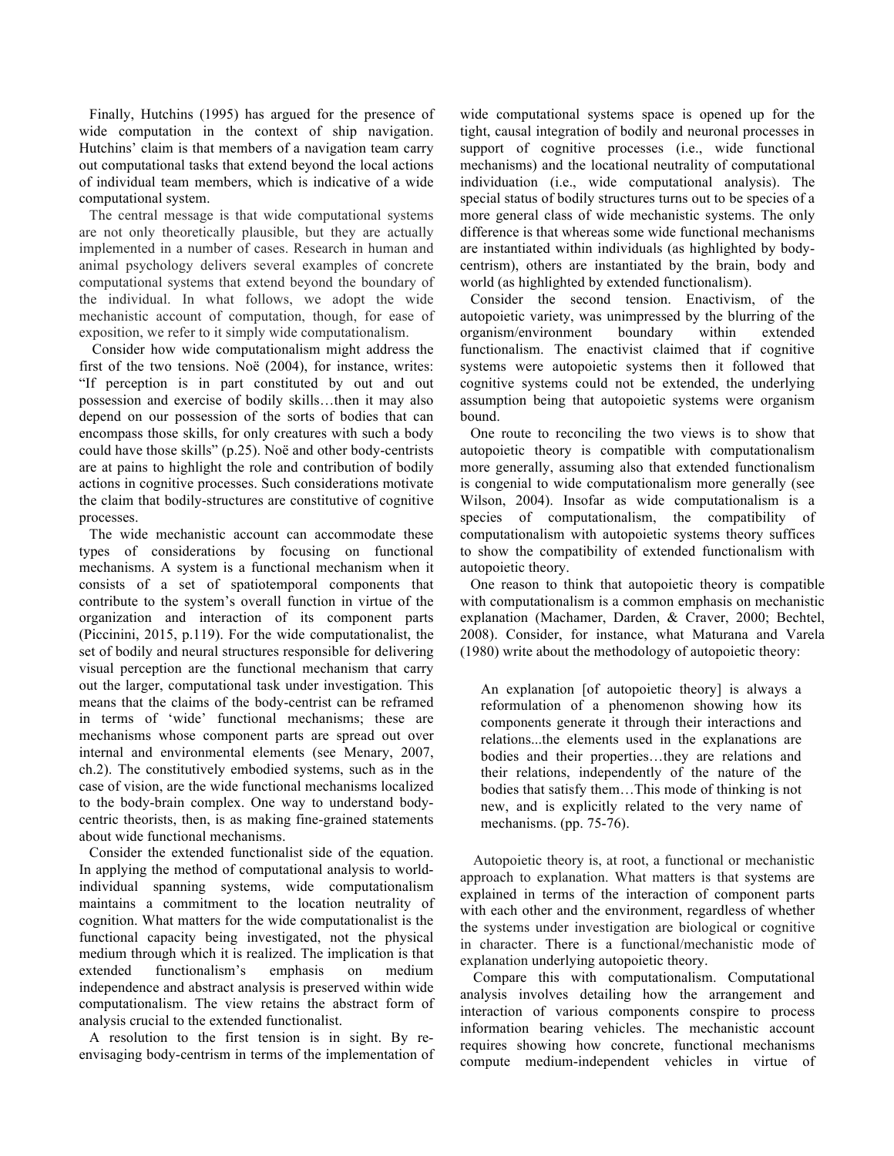Finally, Hutchins (1995) has argued for the presence of wide computation in the context of ship navigation. Hutchins' claim is that members of a navigation team carry out computational tasks that extend beyond the local actions of individual team members, which is indicative of a wide computational system.

The central message is that wide computational systems are not only theoretically plausible, but they are actually implemented in a number of cases. Research in human and animal psychology delivers several examples of concrete computational systems that extend beyond the boundary of the individual. In what follows, we adopt the wide mechanistic account of computation, though, for ease of exposition, we refer to it simply wide computationalism.

Consider how wide computationalism might address the first of the two tensions. Noë (2004), for instance, writes: "If perception is in part constituted by out and out possession and exercise of bodily skills…then it may also depend on our possession of the sorts of bodies that can encompass those skills, for only creatures with such a body could have those skills" (p.25). Noë and other body-centrists are at pains to highlight the role and contribution of bodily actions in cognitive processes. Such considerations motivate the claim that bodily-structures are constitutive of cognitive processes.

The wide mechanistic account can accommodate these types of considerations by focusing on functional mechanisms. A system is a functional mechanism when it consists of a set of spatiotemporal components that contribute to the system's overall function in virtue of the organization and interaction of its component parts (Piccinini, 2015, p.119). For the wide computationalist, the set of bodily and neural structures responsible for delivering visual perception are the functional mechanism that carry out the larger, computational task under investigation. This means that the claims of the body-centrist can be reframed in terms of 'wide' functional mechanisms; these are mechanisms whose component parts are spread out over internal and environmental elements (see Menary, 2007, ch.2). The constitutively embodied systems, such as in the case of vision, are the wide functional mechanisms localized to the body-brain complex. One way to understand bodycentric theorists, then, is as making fine-grained statements about wide functional mechanisms.

Consider the extended functionalist side of the equation. In applying the method of computational analysis to worldindividual spanning systems, wide computationalism maintains a commitment to the location neutrality of cognition. What matters for the wide computationalist is the functional capacity being investigated, not the physical medium through which it is realized. The implication is that extended functionalism's emphasis on medium independence and abstract analysis is preserved within wide computationalism. The view retains the abstract form of analysis crucial to the extended functionalist.

A resolution to the first tension is in sight. By reenvisaging body-centrism in terms of the implementation of

wide computational systems space is opened up for the tight, causal integration of bodily and neuronal processes in support of cognitive processes (i.e., wide functional mechanisms) and the locational neutrality of computational individuation (i.e., wide computational analysis). The special status of bodily structures turns out to be species of a more general class of wide mechanistic systems. The only difference is that whereas some wide functional mechanisms are instantiated within individuals (as highlighted by bodycentrism), others are instantiated by the brain, body and world (as highlighted by extended functionalism).

Consider the second tension. Enactivism, of the autopoietic variety, was unimpressed by the blurring of the organism/environment boundary within extended functionalism. The enactivist claimed that if cognitive systems were autopoietic systems then it followed that cognitive systems could not be extended, the underlying assumption being that autopoietic systems were organism bound.

One route to reconciling the two views is to show that autopoietic theory is compatible with computationalism more generally, assuming also that extended functionalism is congenial to wide computationalism more generally (see Wilson, 2004). Insofar as wide computationalism is a species of computationalism, the compatibility of computationalism with autopoietic systems theory suffices to show the compatibility of extended functionalism with autopoietic theory.

One reason to think that autopoietic theory is compatible with computationalism is a common emphasis on mechanistic explanation (Machamer, Darden, & Craver, 2000; Bechtel, 2008). Consider, for instance, what Maturana and Varela (1980) write about the methodology of autopoietic theory:

An explanation [of autopoietic theory] is always a reformulation of a phenomenon showing how its components generate it through their interactions and relations...the elements used in the explanations are bodies and their properties…they are relations and their relations, independently of the nature of the bodies that satisfy them…This mode of thinking is not new, and is explicitly related to the very name of mechanisms. (pp. 75-76).

Autopoietic theory is, at root, a functional or mechanistic approach to explanation. What matters is that systems are explained in terms of the interaction of component parts with each other and the environment, regardless of whether the systems under investigation are biological or cognitive in character. There is a functional/mechanistic mode of explanation underlying autopoietic theory.

Compare this with computationalism. Computational analysis involves detailing how the arrangement and interaction of various components conspire to process information bearing vehicles. The mechanistic account requires showing how concrete, functional mechanisms compute medium-independent vehicles in virtue of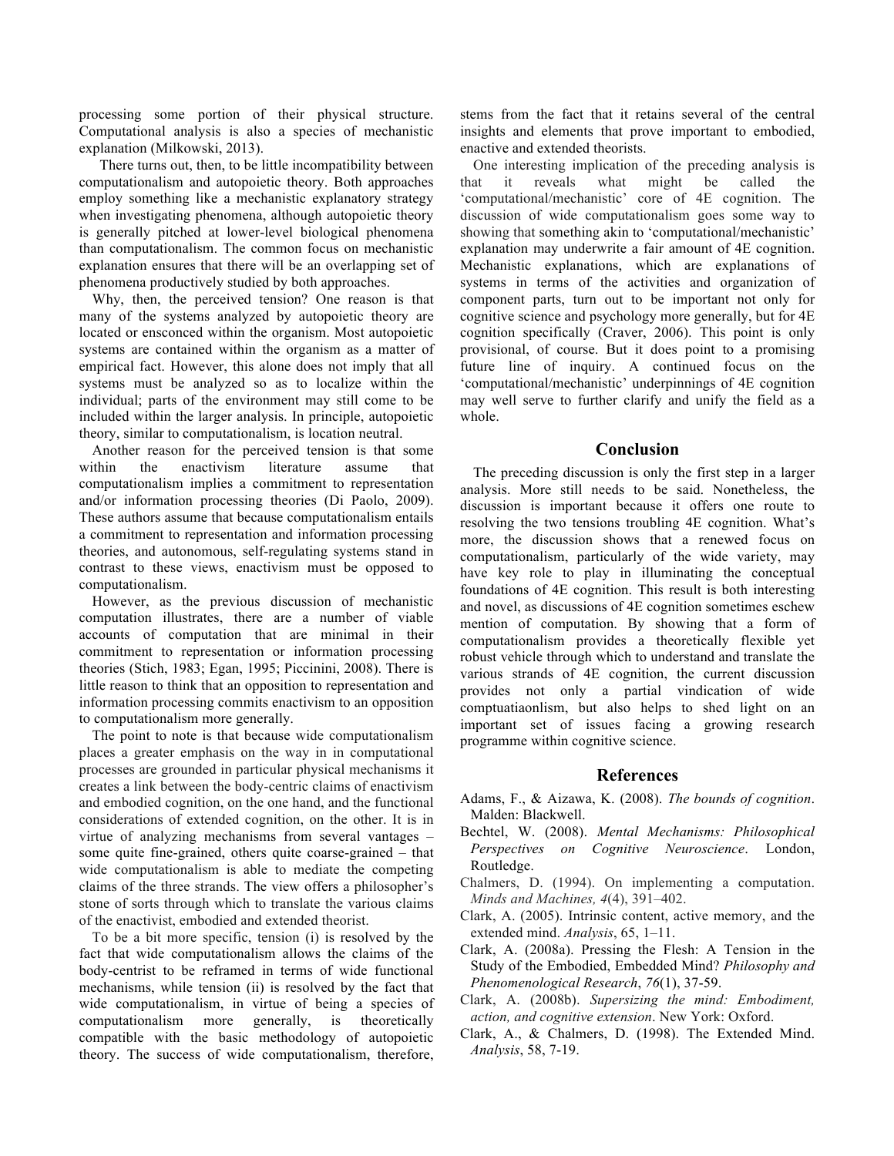processing some portion of their physical structure. Computational analysis is also a species of mechanistic explanation (Milkowski, 2013).

There turns out, then, to be little incompatibility between computationalism and autopoietic theory. Both approaches employ something like a mechanistic explanatory strategy when investigating phenomena, although autopoietic theory is generally pitched at lower-level biological phenomena than computationalism. The common focus on mechanistic explanation ensures that there will be an overlapping set of phenomena productively studied by both approaches.

Why, then, the perceived tension? One reason is that many of the systems analyzed by autopoietic theory are located or ensconced within the organism. Most autopoietic systems are contained within the organism as a matter of empirical fact. However, this alone does not imply that all systems must be analyzed so as to localize within the individual; parts of the environment may still come to be included within the larger analysis. In principle, autopoietic theory, similar to computationalism, is location neutral.

Another reason for the perceived tension is that some within the enactivism literature assume that computationalism implies a commitment to representation and/or information processing theories (Di Paolo, 2009). These authors assume that because computationalism entails a commitment to representation and information processing theories, and autonomous, self-regulating systems stand in contrast to these views, enactivism must be opposed to computationalism.

However, as the previous discussion of mechanistic computation illustrates, there are a number of viable accounts of computation that are minimal in their commitment to representation or information processing theories (Stich, 1983; Egan, 1995; Piccinini, 2008). There is little reason to think that an opposition to representation and information processing commits enactivism to an opposition to computationalism more generally.

The point to note is that because wide computationalism places a greater emphasis on the way in in computational processes are grounded in particular physical mechanisms it creates a link between the body-centric claims of enactivism and embodied cognition, on the one hand, and the functional considerations of extended cognition, on the other. It is in virtue of analyzing mechanisms from several vantages – some quite fine-grained, others quite coarse-grained – that wide computationalism is able to mediate the competing claims of the three strands. The view offers a philosopher's stone of sorts through which to translate the various claims of the enactivist, embodied and extended theorist.

To be a bit more specific, tension (i) is resolved by the fact that wide computationalism allows the claims of the body-centrist to be reframed in terms of wide functional mechanisms, while tension (ii) is resolved by the fact that wide computationalism, in virtue of being a species of computationalism more generally, is theoretically compatible with the basic methodology of autopoietic theory. The success of wide computationalism, therefore,

stems from the fact that it retains several of the central insights and elements that prove important to embodied, enactive and extended theorists.

One interesting implication of the preceding analysis is that it reveals what might be called the 'computational/mechanistic' core of 4E cognition. The discussion of wide computationalism goes some way to showing that something akin to 'computational/mechanistic' explanation may underwrite a fair amount of 4E cognition. Mechanistic explanations, which are explanations of systems in terms of the activities and organization of component parts, turn out to be important not only for cognitive science and psychology more generally, but for 4E cognition specifically (Craver, 2006). This point is only provisional, of course. But it does point to a promising future line of inquiry. A continued focus on the 'computational/mechanistic' underpinnings of 4E cognition may well serve to further clarify and unify the field as a whole.

## **Conclusion**

The preceding discussion is only the first step in a larger analysis. More still needs to be said. Nonetheless, the discussion is important because it offers one route to resolving the two tensions troubling 4E cognition. What's more, the discussion shows that a renewed focus on computationalism, particularly of the wide variety, may have key role to play in illuminating the conceptual foundations of 4E cognition. This result is both interesting and novel, as discussions of 4E cognition sometimes eschew mention of computation. By showing that a form of computationalism provides a theoretically flexible yet robust vehicle through which to understand and translate the various strands of 4E cognition, the current discussion provides not only a partial vindication of wide comptuatiaonlism, but also helps to shed light on an important set of issues facing a growing research programme within cognitive science.

### **References**

- Adams, F., & Aizawa, K. (2008). *The bounds of cognition*. Malden: Blackwell.
- Bechtel, W. (2008). *Mental Mechanisms: Philosophical Perspectives on Cognitive Neuroscience*. London, Routledge.
- Chalmers, D. (1994). On implementing a computation. *Minds and Machines, 4*(4), 391–402.
- Clark, A. (2005). Intrinsic content, active memory, and the extended mind. *Analysis*, 65, 1–11.
- Clark, A. (2008a). Pressing the Flesh: A Tension in the Study of the Embodied, Embedded Mind? *Philosophy and Phenomenological Research*, *76*(1), 37-59.
- Clark, A. (2008b). *Supersizing the mind: Embodiment, action, and cognitive extension*. New York: Oxford.
- Clark, A., & Chalmers, D. (1998). The Extended Mind. *Analysis*, 58, 7-19.